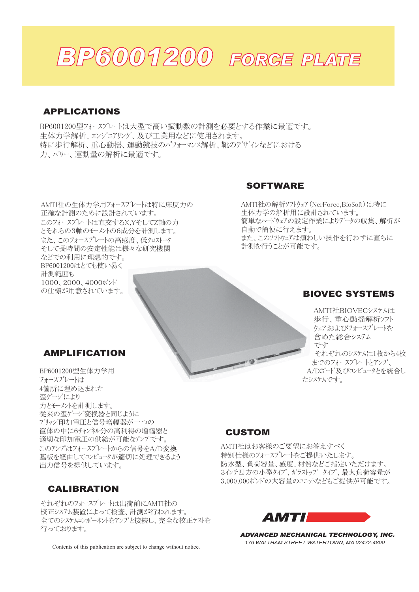

### APPLICATIONS

BP6001200型フォースプレートは大型で高い振動数の計測を必要とする作業に最適です。 生体力学解析、エンジニアリング、及び工業用などに使用されます。 特に歩行解析、重心動揺、運動競技のパフォーマンス解析、靴のデザインなどにおける 力、パワー、運動量の解析に最適です。

AMTI社の生体力学用フォースプレートは特に床反力の 正確な計測のために設計されています。 このフォースプレートは直交するX.YそしてZ軸の力 とそれらの3軸のモーメントの6成分を計測します。 また、このフォースプレートの高感度、低クロストーク そして長時間の安定性能は様々な研究機関 などでの利用に理想的です。 BP6001200はとても使い易く 計測範囲も 1000, 2000, 4000 $\hbar$ °/ $\hbar$ ' の仕様が用意されています。

## SOFTWARE

AMTI社の解析ソフトウェア (NerForce, BioSoft) は特に 生体力学の解析用に設計されています。 簡単なハードウェアの設定作業によりデータの収集、解析が 自動で簡便に行えます。 また、このソフトウェアは煩わしい操作を行わずに直ちに 計測を行うことが可能です。

## BIOVEC SYSTEMS

AMTI社BIOVECシステムは 歩行、重心動揺解析ソフト ウェアおよびフォースプレートを 含めた総合システム です それぞれのシステムは1枚から4枚 までのフォースプレート*とアンプ*、 A/Dボード及びコンピュータとを統合し たシステムです。

### AMPLIFICATION

BP6001200型生体力学用 フォースプレートは 4箇所に埋め込まれた 否ヶ゙ージにより 力とモーメントを計測します。 従来の歪ゲージ変換器と同じように ブリッジ印加雷圧と信号増幅器が一つの 筐体の中に6チャンネル分の高利得の増幅器と 適切な印加電圧の供給が可能なアンプです。 このアンプはフォースプレートからの信号をA/D変換 基板を経由してコンピュータが適切に処理できるよう 出力信号を提供しています。

#### CALIBRATION

それぞれのフォースプレートは出荷前にAMTI社の 校正システム装置によって検査、計測が行われます。 含てのシステムコンポーネントネアンプと接続し、完全な校正テストネ 行っております。

Contents of this publication are subject to change without notice.

### CUSTOM

AMTI社はお客様のご要望にお答えすべく 特別仕様のフォースプレートをご提供いたします。 防水型、負荷容量、感度、材質などご指定いただけます。 3インチ四方の小型タイプ、ガラストップ タイプ、最大負荷容量が 3,000,000ポンドの大容量のユニットなどもご提供が可能です。



*ADVANCED MECHANICAL TECHNOLOGY, INC. 176 WALTHAM STREET WATERTOWN, MA 02472-4800*